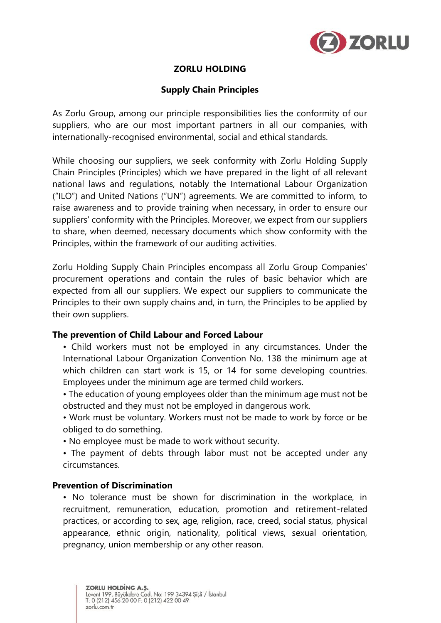

# **ZORLU HOLDING**

# **Supply Chain Principles**

As Zorlu Group, among our principle responsibilities lies the conformity of our suppliers, who are our most important partners in all our companies, with internationally-recognised environmental, social and ethical standards.

While choosing our suppliers, we seek conformity with Zorlu Holding Supply Chain Principles (Principles) which we have prepared in the light of all relevant national laws and regulations, notably the International Labour Organization ("ILO") and United Nations ("UN") agreements. We are committed to inform, to raise awareness and to provide training when necessary, in order to ensure our suppliers' conformity with the Principles. Moreover, we expect from our suppliers to share, when deemed, necessary documents which show conformity with the Principles, within the framework of our auditing activities.

Zorlu Holding Supply Chain Principles encompass all Zorlu Group Companies' procurement operations and contain the rules of basic behavior which are expected from all our suppliers. We expect our suppliers to communicate the Principles to their own supply chains and, in turn, the Principles to be applied by their own suppliers.

## **The prevention of Child Labour and Forced Labour**

- Child workers must not be employed in any circumstances. Under the International Labour Organization Convention No. 138 the minimum age at which children can start work is 15, or 14 for some developing countries. Employees under the minimum age are termed child workers.
- The education of young employees older than the minimum age must not be obstructed and they must not be employed in dangerous work.
- Work must be voluntary. Workers must not be made to work by force or be obliged to do something.
- No employee must be made to work without security.
- The payment of debts through labor must not be accepted under any circumstances.

# **Prevention of Discrimination**

• No tolerance must be shown for discrimination in the workplace, in recruitment, remuneration, education, promotion and retirement-related practices, or according to sex, age, religion, race, creed, social status, physical appearance, ethnic origin, nationality, political views, sexual orientation, pregnancy, union membership or any other reason.